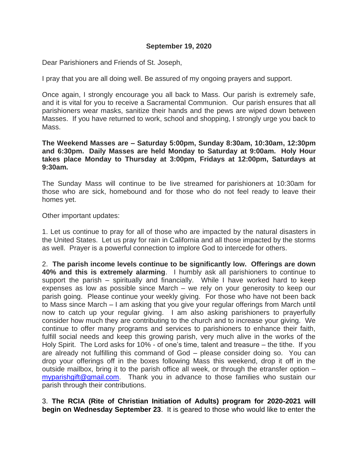### **September 19, 2020**

Dear Parishioners and Friends of St. Joseph,

I pray that you are all doing well. Be assured of my ongoing prayers and support.

Once again, I strongly encourage you all back to Mass. Our parish is extremely safe, and it is vital for you to receive a Sacramental Communion. Our parish ensures that all parishioners wear masks, sanitize their hands and the pews are wiped down between Masses. If you have returned to work, school and shopping, I strongly urge you back to Mass.

**The Weekend Masses are – Saturday 5:00pm, Sunday 8:30am, 10:30am, 12:30pm and 6:30pm. Daily Masses are held Monday to Saturday at 9:00am. Holy Hour takes place Monday to Thursday at 3:00pm, Fridays at 12:00pm, Saturdays at 9:30am.**

The Sunday Mass will continue to be live streamed for parishioners at 10:30am for those who are sick, homebound and for those who do not feel ready to leave their homes yet.

#### Other important updates:

1. Let us continue to pray for all of those who are impacted by the natural disasters in the United States. Let us pray for rain in California and all those impacted by the storms as well. Prayer is a powerful connection to implore God to intercede for others.

2. **The parish income levels continue to be significantly low. Offerings are down 40% and this is extremely alarming**. I humbly ask all parishioners to continue to support the parish – spiritually and financially. While I have worked hard to keep expenses as low as possible since March – we rely on your generosity to keep our parish going. Please continue your weekly giving. For those who have not been back to Mass since March – I am asking that you give your regular offerings from March until now to catch up your regular giving. I am also asking parishioners to prayerfully consider how much they are contributing to the church and to increase your giving. We continue to offer many programs and services to parishioners to enhance their faith, fulfill social needs and keep this growing parish, very much alive in the works of the Holy Spirit. The Lord asks for 10% - of one's time, talent and treasure – the tithe. If you are already not fulfilling this command of God – please consider doing so. You can drop your offerings off in the boxes following Mass this weekend, drop it off in the outside mailbox, bring it to the parish office all week, or through the etransfer option – [myparishgift@gmail.com.](mailto:myparishgift@gmail.com) Thank you in advance to those families who sustain our parish through their contributions.

3. **The RCIA (Rite of Christian Initiation of Adults) program for 2020-2021 will begin on Wednesday September 23**. It is geared to those who would like to enter the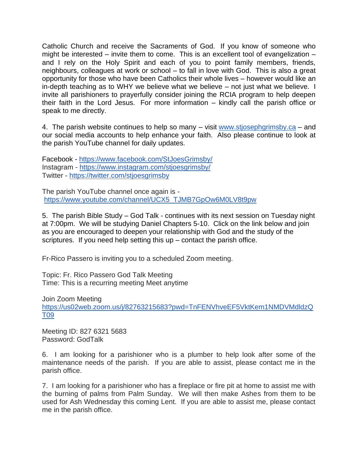Catholic Church and receive the Sacraments of God. If you know of someone who might be interested – invite them to come. This is an excellent tool of evangelization – and I rely on the Holy Spirit and each of you to point family members, friends, neighbours, colleagues at work or school – to fall in love with God. This is also a great opportunity for those who have been Catholics their whole lives – however would like an in-depth teaching as to WHY we believe what we believe – not just what we believe. I invite all parishioners to prayerfully consider joining the RCIA program to help deepen their faith in the Lord Jesus. For more information – kindly call the parish office or speak to me directly.

4. The parish website continues to help so many – visit [www.stjosephgrimsby.ca](http://www.stjosephgrimsby.ca/) – and our social media accounts to help enhance your faith. Also please continue to look at the parish YouTube channel for daily updates.

Facebook - <https://www.facebook.com/StJoesGrimsby/> Instagram - <https://www.instagram.com/stjoesgrimsby/> Twitter - <https://twitter.com/stjoesgrimsby>

The parish YouTube channel once again is [https://www.youtube.com/channel/UCX5\\_TJMB7GpOw6M0LV8t9pw](https://www.youtube.com/channel/UCX5_TJMB7GpOw6M0LV8t9pw)

5. The parish Bible Study – God Talk - continues with its next session on Tuesday night at 7:00pm. We will be studying Daniel Chapters 5-10. Click on the link below and join as you are encouraged to deepen your relationship with God and the study of the scriptures. If you need help setting this  $up$  – contact the parish office.

Fr-Rico Passero is inviting you to a scheduled Zoom meeting.

Topic: Fr. Rico Passero God Talk Meeting Time: This is a recurring meeting Meet anytime

Join Zoom Meeting

[https://us02web.zoom.us/j/82763215683?pwd=TnFENVhveEF5VktKem1NMDVMdldzQ](https://us02web.zoom.us/j/82763215683?pwd=TnFENVhveEF5VktKem1NMDVMdldzQT09) [T09](https://us02web.zoom.us/j/82763215683?pwd=TnFENVhveEF5VktKem1NMDVMdldzQT09)

Meeting ID: 827 6321 5683 Password: GodTalk

6. I am looking for a parishioner who is a plumber to help look after some of the maintenance needs of the parish. If you are able to assist, please contact me in the parish office.

7. I am looking for a parishioner who has a fireplace or fire pit at home to assist me with the burning of palms from Palm Sunday. We will then make Ashes from them to be used for Ash Wednesday this coming Lent. If you are able to assist me, please contact me in the parish office.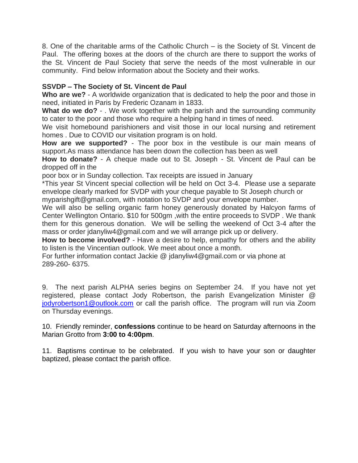8. One of the charitable arms of the Catholic Church – is the Society of St. Vincent de Paul. The offering boxes at the doors of the church are there to support the works of the St. Vincent de Paul Society that serve the needs of the most vulnerable in our community. Find below information about the Society and their works.

### **SSVDP – The Society of St. Vincent de Paul**

**Who are we?** - A worldwide organization that is dedicated to help the poor and those in need, initiated in Paris by Frederic Ozanam in 1833.

**What do we do?** - . We work together with the parish and the surrounding community to cater to the poor and those who require a helping hand in times of need.

We visit homebound parishioners and visit those in our local nursing and retirement homes . Due to COVID our visitation program is on hold.

**How are we supported?** - The poor box in the vestibule is our main means of support.As mass attendance has been down the collection has been as well

**How to donate?** - A cheque made out to St. Joseph - St. Vincent de Paul can be dropped off in the

poor box or in Sunday collection. Tax receipts are issued in January

\*This year St Vincent special collection will be held on Oct 3-4. Please use a separate envelope clearly marked for SVDP with your cheque payable to St Joseph church or

myparishgift@gmail.com, with notation to SVDP and your envelope number.

We will also be selling organic farm honey generously donated by Halcyon farms of Center Wellington Ontario. \$10 for 500gm ,with the entire proceeds to SVDP . We thank them for this generous donation. We will be selling the weekend of Oct 3-4 after the mass or order jdanyliw4@gmail.com and we will arrange pick up or delivery.

**How to become involved?** - Have a desire to help, empathy for others and the ability to listen is the Vincentian outlook. We meet about once a month.

For further information contact Jackie @ jdanyliw4@gmail.com or via phone at 289-260- 6375.

9. The next parish ALPHA series begins on September 24. If you have not yet registered, please contact Jody Robertson, the parish Evangelization Minister @ [jodyrobertson1@outlook.com](mailto:jodyrobertson1@outlook.com) or call the parish office. The program will run via Zoom on Thursday evenings.

10. Friendly reminder, **confessions** continue to be heard on Saturday afternoons in the Marian Grotto from **3:00 to 4:00pm**.

11. Baptisms continue to be celebrated. If you wish to have your son or daughter baptized, please contact the parish office.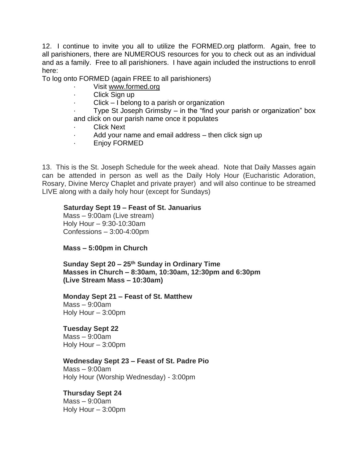12. I continue to invite you all to utilize the FORMED.org platform. Again, free to all parishioners, there are NUMEROUS resources for you to check out as an individual and as a family. Free to all parishioners. I have again included the instructions to enroll here:

To log onto FORMED (again FREE to all parishioners)

- Visit [www.formed.org](http://www.formed.org/)
- Click Sign up
- $Click I belong to a parish or organization$

Type St Joseph Grimsby  $-$  in the "find your parish or organization" box and click on our parish name once it populates

- Click Next
- Add your name and email address then click sign up
- · Enjoy FORMED

13. This is the St. Joseph Schedule for the week ahead. Note that Daily Masses again can be attended in person as well as the Daily Holy Hour (Eucharistic Adoration, Rosary, Divine Mercy Chaplet and private prayer) and will also continue to be streamed LIVE along with a daily holy hour (except for Sundays)

### **Saturday Sept 19 – Feast of St. Januarius**

Mass – 9:00am (Live stream) Holy Hour – 9:30-10:30am Confessions – 3:00-4:00pm

### **Mass – 5:00pm in Church**

**Sunday Sept 20 – 25 th Sunday in Ordinary Time Masses in Church – 8:30am, 10:30am, 12:30pm and 6:30pm (Live Stream Mass – 10:30am)**

#### **Monday Sept 21 – Feast of St. Matthew**  Mass – 9:00am Holy Hour – 3:00pm

## **Tuesday Sept 22**

Mass – 9:00am Holy Hour – 3:00pm

## **Wednesday Sept 23 – Feast of St. Padre Pio**

 $Mass - 9:00$ am Holy Hour (Worship Wednesday) - 3:00pm

## **Thursday Sept 24**

Mass – 9:00am Holy Hour – 3:00pm